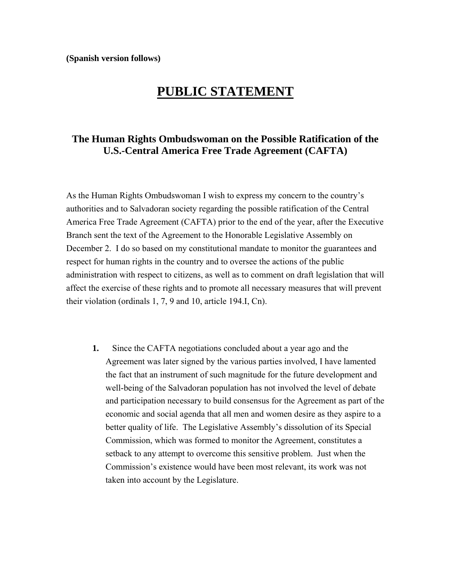**(Spanish version follows)**

## **PUBLIC STATEMENT**

## **The Human Rights Ombudswoman on the Possible Ratification of the U.S.-Central America Free Trade Agreement (CAFTA)**

As the Human Rights Ombudswoman I wish to express my concern to the country's authorities and to Salvadoran society regarding the possible ratification of the Central America Free Trade Agreement (CAFTA) prior to the end of the year, after the Executive Branch sent the text of the Agreement to the Honorable Legislative Assembly on December 2. I do so based on my constitutional mandate to monitor the guarantees and respect for human rights in the country and to oversee the actions of the public administration with respect to citizens, as well as to comment on draft legislation that will affect the exercise of these rights and to promote all necessary measures that will prevent their violation (ordinals 1, 7, 9 and 10, article 194.I, Cn).

**1.** Since the CAFTA negotiations concluded about a year ago and the Agreement was later signed by the various parties involved, I have lamented the fact that an instrument of such magnitude for the future development and well-being of the Salvadoran population has not involved the level of debate and participation necessary to build consensus for the Agreement as part of the economic and social agenda that all men and women desire as they aspire to a better quality of life. The Legislative Assembly's dissolution of its Special Commission, which was formed to monitor the Agreement, constitutes a setback to any attempt to overcome this sensitive problem. Just when the Commission's existence would have been most relevant, its work was not taken into account by the Legislature.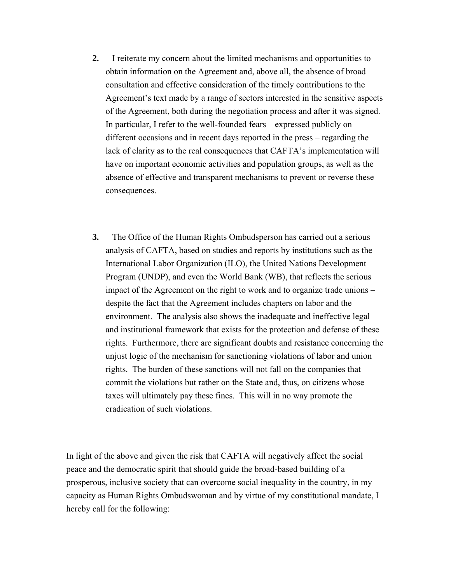- **2.** I reiterate my concern about the limited mechanisms and opportunities to obtain information on the Agreement and, above all, the absence of broad consultation and effective consideration of the timely contributions to the Agreement's text made by a range of sectors interested in the sensitive aspects of the Agreement, both during the negotiation process and after it was signed. In particular, I refer to the well-founded fears – expressed publicly on different occasions and in recent days reported in the press – regarding the lack of clarity as to the real consequences that CAFTA's implementation will have on important economic activities and population groups, as well as the absence of effective and transparent mechanisms to prevent or reverse these consequences.
- **3.** The Office of the Human Rights Ombudsperson has carried out a serious analysis of CAFTA, based on studies and reports by institutions such as the International Labor Organization (ILO), the United Nations Development Program (UNDP), and even the World Bank (WB), that reflects the serious impact of the Agreement on the right to work and to organize trade unions – despite the fact that the Agreement includes chapters on labor and the environment. The analysis also shows the inadequate and ineffective legal and institutional framework that exists for the protection and defense of these rights. Furthermore, there are significant doubts and resistance concerning the unjust logic of the mechanism for sanctioning violations of labor and union rights. The burden of these sanctions will not fall on the companies that commit the violations but rather on the State and, thus, on citizens whose taxes will ultimately pay these fines. This will in no way promote the eradication of such violations.

In light of the above and given the risk that CAFTA will negatively affect the social peace and the democratic spirit that should guide the broad-based building of a prosperous, inclusive society that can overcome social inequality in the country, in my capacity as Human Rights Ombudswoman and by virtue of my constitutional mandate, I hereby call for the following: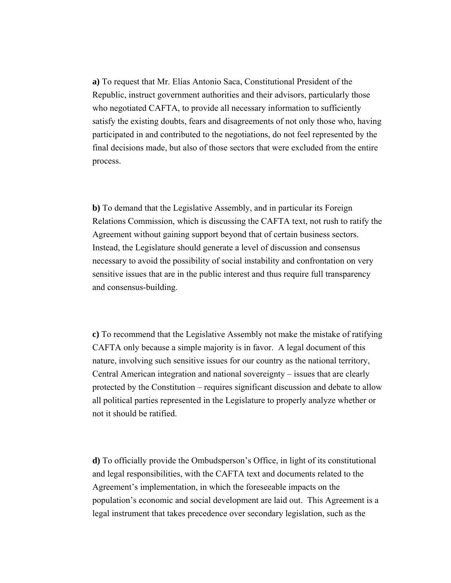**a)** To request that Mr. Elías Antonio Saca, Constitutional President of the Republic, instruct government authorities and their advisors, particularly those who negotiated CAFTA, to provide all necessary information to sufficiently satisfy the existing doubts, fears and disagreements of not only those who, having participated in and contributed to the negotiations, do not feel represented by the final decisions made, but also of those sectors that were excluded from the entire process.

**b)** To demand that the Legislative Assembly, and in particular its Foreign Relations Commission, which is discussing the CAFTA text, not rush to ratify the Agreement without gaining support beyond that of certain business sectors. Instead, the Legislature should generate a level of discussion and consensus necessary to avoid the possibility of social instability and confrontation on very sensitive issues that are in the public interest and thus require full transparency and consensus-building.

**c)** To recommend that the Legislative Assembly not make the mistake of ratifying CAFTA only because a simple majority is in favor. A legal document of this nature, involving such sensitive issues for our country as the national territory, Central American integration and national sovereignty – issues that are clearly protected by the Constitution – requires significant discussion and debate to allow all political parties represented in the Legislature to properly analyze whether or not it should be ratified.

**d)** To officially provide the Ombudsperson's Office, in light of its constitutional and legal responsibilities, with the CAFTA text and documents related to the Agreement's implementation, in which the foreseeable impacts on the population's economic and social development are laid out. This Agreement is a legal instrument that takes precedence over secondary legislation, such as the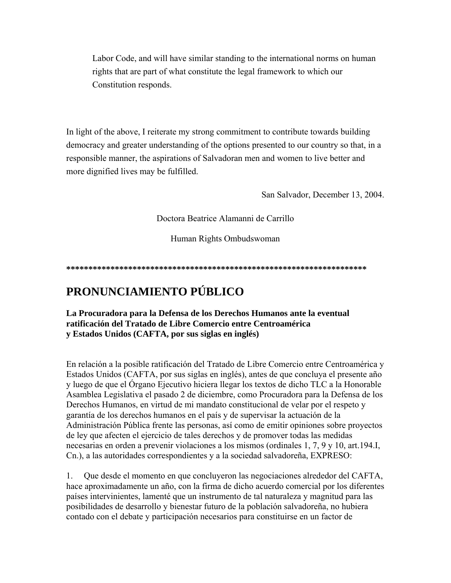Labor Code, and will have similar standing to the international norms on human rights that are part of what constitute the legal framework to which our Constitution responds.

In light of the above, I reiterate my strong commitment to contribute towards building democracy and greater understanding of the options presented to our country so that, in a responsible manner, the aspirations of Salvadoran men and women to live better and more dignified lives may be fulfilled.

San Salvador, December 13, 2004.

Doctora Beatrice Alamanni de Carrillo

Human Rights Ombudswoman

## PRONUNCIAMIENTO PÚBLICO

La Procuradora para la Defensa de los Derechos Humanos ante la eventual ratificación del Tratado de Libre Comercio entre Centroamérica y Estados Unidos (CAFTA, por sus siglas en inglés)

En relación a la posible ratificación del Tratado de Libre Comercio entre Centroamérica y Estados Unidos (CAFTA, por sus siglas en inglés), antes de que concluya el presente año y luego de que el Órgano Ejecutivo hiciera llegar los textos de dicho TLC a la Honorable Asamblea Legislativa el pasado 2 de diciembre, como Procuradora para la Defensa de los Derechos Humanos, en virtud de mi mandato constitucional de velar por el respeto y garantía de los derechos humanos en el país y de supervisar la actuación de la Administración Pública frente las personas, así como de emitir opiniones sobre proyectos de ley que afecten el ejercicio de tales derechos y de promover todas las medidas necesarias en orden a prevenir violaciones a los mismos (ordinales 1, 7, 9 y 10, art.194.I, Cn.), a las autoridades correspondientes y a la sociedad salvadoreña, EXPRESO:

 $\mathbf{1}$ . Que desde el momento en que concluyeron las negociaciones alrededor del CAFTA, hace aproximadamente un año, con la firma de dicho acuerdo comercial por los diferentes países intervinientes, lamenté que un instrumento de tal naturaleza y magnitud para las posibilidades de desarrollo y bienestar futuro de la población salvadoreña, no hubiera contado con el debate y participación necesarios para constituirse en un factor de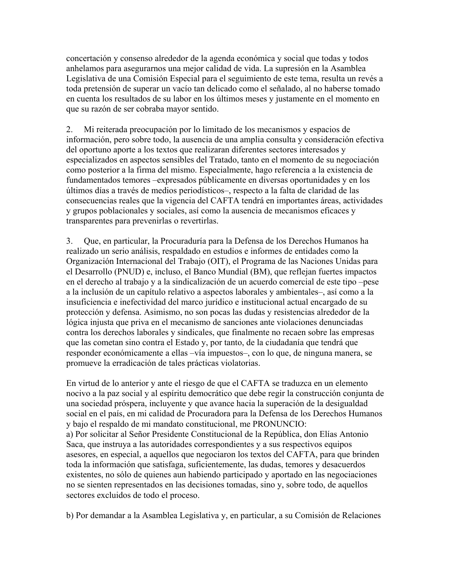concertación y consenso alrededor de la agenda económica y social que todas y todos anhelamos para asegurarnos una mejor calidad de vida. La supresión en la Asamblea Legislativa de una Comisión Especial para el seguimiento de este tema, resulta un revés a toda pretensión de superar un vacío tan delicado como el señalado, al no haberse tomado en cuenta los resultados de su labor en los últimos meses y justamente en el momento en que su razón de ser cobraba mayor sentido.

2. Mi reiterada preocupación por lo limitado de los mecanismos y espacios de información, pero sobre todo, la ausencia de una amplia consulta y consideración efectiva del oportuno aporte a los textos que realizaran diferentes sectores interesados y especializados en aspectos sensibles del Tratado, tanto en el momento de su negociación como posterior a la firma del mismo. Especialmente, hago referencia a la existencia de fundamentados temores –expresados públicamente en diversas oportunidades y en los últimos días a través de medios periodísticos–, respecto a la falta de claridad de las consecuencias reales que la vigencia del CAFTA tendrá en importantes áreas, actividades y grupos poblacionales y sociales, así como la ausencia de mecanismos eficaces y transparentes para prevenirlas o revertirlas.

3. Que, en particular, la Procuraduría para la Defensa de los Derechos Humanos ha realizado un serio análisis, respaldado en estudios e informes de entidades como la Organización Internacional del Trabajo (OIT), el Programa de las Naciones Unidas para el Desarrollo (PNUD) e, incluso, el Banco Mundial (BM), que reflejan fuertes impactos en el derecho al trabajo y a la sindicalización de un acuerdo comercial de este tipo –pese a la inclusión de un capítulo relativo a aspectos laborales y ambientales–, así como a la insuficiencia e inefectividad del marco jurídico e institucional actual encargado de su protección y defensa. Asimismo, no son pocas las dudas y resistencias alrededor de la lógica injusta que priva en el mecanismo de sanciones ante violaciones denunciadas contra los derechos laborales y sindicales, que finalmente no recaen sobre las empresas que las cometan sino contra el Estado y, por tanto, de la ciudadanía que tendrá que responder económicamente a ellas –vía impuestos–, con lo que, de ninguna manera, se promueve la erradicación de tales prácticas violatorias.

En virtud de lo anterior y ante el riesgo de que el CAFTA se traduzca en un elemento nocivo a la paz social y al espíritu democrático que debe regir la construcción conjunta de una sociedad próspera, incluyente y que avance hacia la superación de la desigualdad social en el país, en mi calidad de Procuradora para la Defensa de los Derechos Humanos y bajo el respaldo de mi mandato constitucional, me PRONUNCIO: a) Por solicitar al Señor Presidente Constitucional de la República, don Elías Antonio Saca, que instruya a las autoridades correspondientes y a sus respectivos equipos asesores, en especial, a aquellos que negociaron los textos del CAFTA, para que brinden toda la información que satisfaga, suficientemente, las dudas, temores y desacuerdos existentes, no sólo de quienes aun habiendo participado y aportado en las negociaciones no se sienten representados en las decisiones tomadas, sino y, sobre todo, de aquellos sectores excluidos de todo el proceso.

b) Por demandar a la Asamblea Legislativa y, en particular, a su Comisión de Relaciones